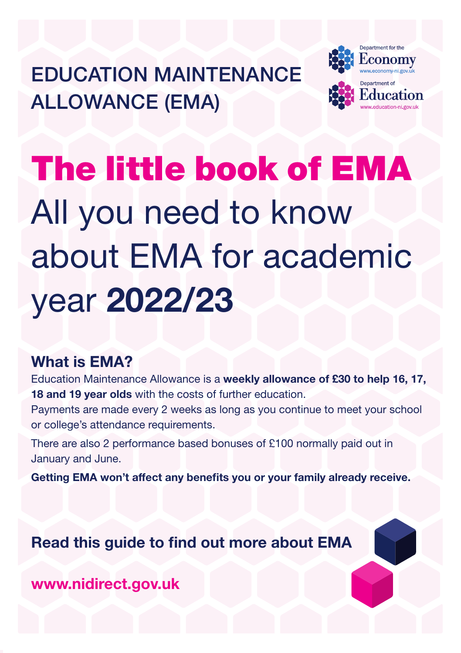EDUCATION MAINTENANCE ALLOWANCE (EMA)



# The little book of EMA All you need to know about EMA for academic year 2022/23

## What is EMA?

Education Maintenance Allowance is a weekly allowance of £30 to help 16, 17, 18 and 19 year olds with the costs of further education.

Payments are made every 2 weeks as long as you continue to meet your school or college's attendance requirements.

There are also 2 performance based bonuses of £100 normally paid out in January and June.

Getting EMA won't affect any benefits you or your family already receive.

Read this guide to find out more about EMA

<www.nidirect.gov.uk>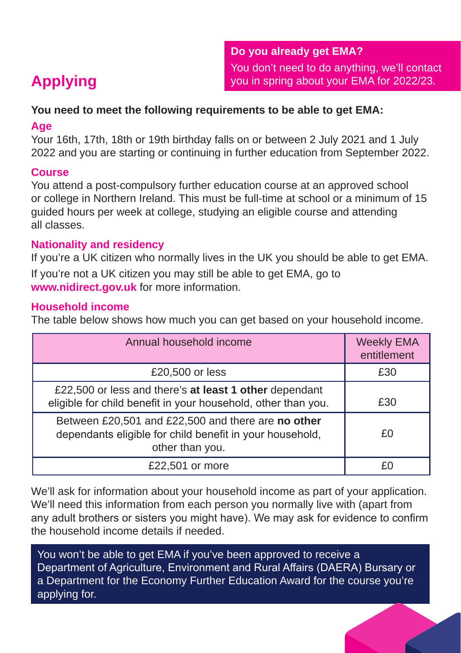### **You need to meet the following requirements to be able to get EMA:**

#### **Age**

Your 16th, 17th, 18th or 19th birthday falls on or between 2 July 2021 and 1 July 2022 and you are starting or continuing in further education from September 2022.

### **Course**

You attend a post-compulsory further education course at an approved school or college in Northern Ireland. This must be full-time at school or a minimum of 15 guided hours per week at college, studying an eligible course and attending all classes.

### **Nationality and residency**

If you're a UK citizen who normally lives in the UK you should be able to get EMA.

If you're not a UK citizen you may still be able to get EMA, go to **<www.nidirect.gov.uk>** for more information.

### **Household income**

The table below shows how much you can get based on your household income.

| Annual household income                                                                                                           | <b>Weekly EMA</b><br>entitlement |
|-----------------------------------------------------------------------------------------------------------------------------------|----------------------------------|
| £20,500 or less                                                                                                                   | £30                              |
| £22,500 or less and there's at least 1 other dependant<br>eligible for child benefit in your household, other than you.           | £30                              |
| Between £20,501 and £22,500 and there are no other<br>dependants eligible for child benefit in your household,<br>other than you. | £Ο                               |
| £22,501 or more                                                                                                                   |                                  |

We'll ask for information about your household income as part of your application. We'll need this information from each person you normally live with (apart from any adult brothers or sisters you might have). We may ask for evidence to confirm the household income details if needed.

You won't be able to get EMA if you've been approved to receive a Department of Agriculture, Environment and Rural Affairs (DAERA) Bursary or a Department for the Economy Further Education Award for the course you're applying for.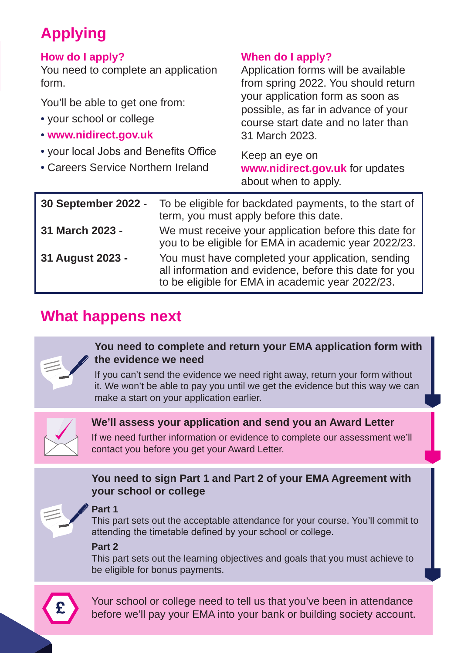## **Applying**

#### **How do I apply?**

You need to complete an application form.

You'll be able to get one from:

- your school or college
- **<www.nidirect.gov.uk>**
- your local Jobs and Benefits Office
- Careers Service Northern Ireland

### **When do I apply?**

Application forms will be available from spring 2022. You should return your application form as soon as possible, as far in advance of your course start date and no later than 31 March 2023.

Keep an eye on **<www.nidirect.gov.uk>** for updates about when to apply.

| 30 September 2022 - | To be eligible for backdated payments, to the start of<br>term, you must apply before this date.                                                                |
|---------------------|-----------------------------------------------------------------------------------------------------------------------------------------------------------------|
| 31 March 2023 -     | We must receive your application before this date for<br>you to be eligible for EMA in academic year 2022/23.                                                   |
| 31 August 2023 -    | You must have completed your application, sending<br>all information and evidence, before this date for you<br>to be eligible for EMA in academic year 2022/23. |

## **What happens next**



#### **You need to complete and return your EMA application form with the evidence we need**

If you can't send the evidence we need right away, return your form without it. We won't be able to pay you until we get the evidence but this way we can make a start on your application earlier.



#### **We'll assess your application and send you an Award Letter**

If we need further information or evidence to complete our assessment we'll contact you before you get your Award Letter.

#### **You need to sign Part 1 and Part 2 of your EMA Agreement with your school or college**



#### **Part 1**

This part sets out the acceptable attendance for your course. You'll commit to attending the timetable defined by your school or college.

#### **Part 2**

This part sets out the learning objectives and goals that you must achieve to be eligible for bonus payments.



Your school or college need to tell us that you've been in attendance before we'll pay your EMA into your bank or building society account.